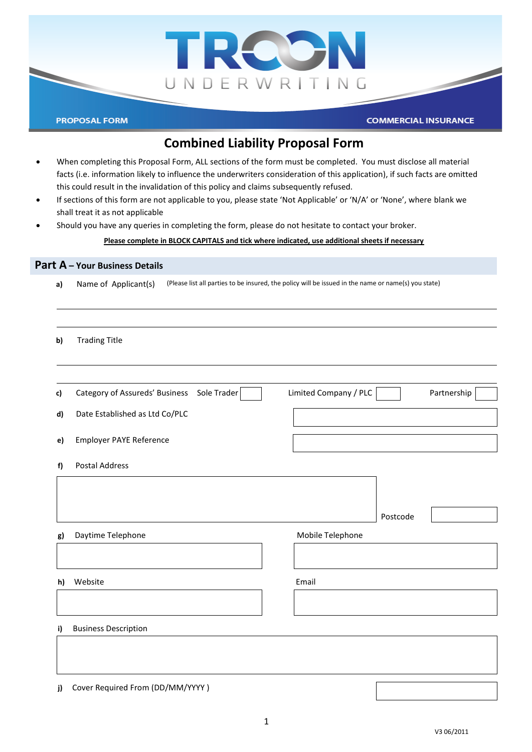

# **Combined Liability Proposal Form**

- When completing this Proposal Form, ALL sections of the form must be completed. You must disclose all material facts (i.e. information likely to influence the underwriters consideration of this application), if such facts are omitted this could result in the invalidation of this policy and claims subsequently refused.
- If sections of this form are not applicable to you, please state 'Not Applicable' or 'N/A' or 'None', where blank we shall treat it as not applicable
- Should you have any queries in completing the form, please do not hesitate to contact your broker.

#### **Please complete in BLOCK CAPITALS and tick where indicated, use additional sheets if necessary**

| a) | (Please list all parties to be insured, the policy will be issued in the name or name(s) you state)<br>Name of Applicant(s) |                                      |  |  |
|----|-----------------------------------------------------------------------------------------------------------------------------|--------------------------------------|--|--|
| b) | <b>Trading Title</b>                                                                                                        |                                      |  |  |
| c) | Category of Assureds' Business Sole Trader                                                                                  | Limited Company / PLC<br>Partnership |  |  |
| d) | Date Established as Ltd Co/PLC                                                                                              |                                      |  |  |
| e) | <b>Employer PAYE Reference</b>                                                                                              |                                      |  |  |
| f) | Postal Address                                                                                                              |                                      |  |  |
|    |                                                                                                                             |                                      |  |  |
|    |                                                                                                                             | Postcode                             |  |  |
| g) | Daytime Telephone                                                                                                           | Mobile Telephone                     |  |  |
|    |                                                                                                                             |                                      |  |  |
| h) | Website                                                                                                                     | Email                                |  |  |
|    |                                                                                                                             |                                      |  |  |
| i) | <b>Business Description</b>                                                                                                 |                                      |  |  |
|    |                                                                                                                             |                                      |  |  |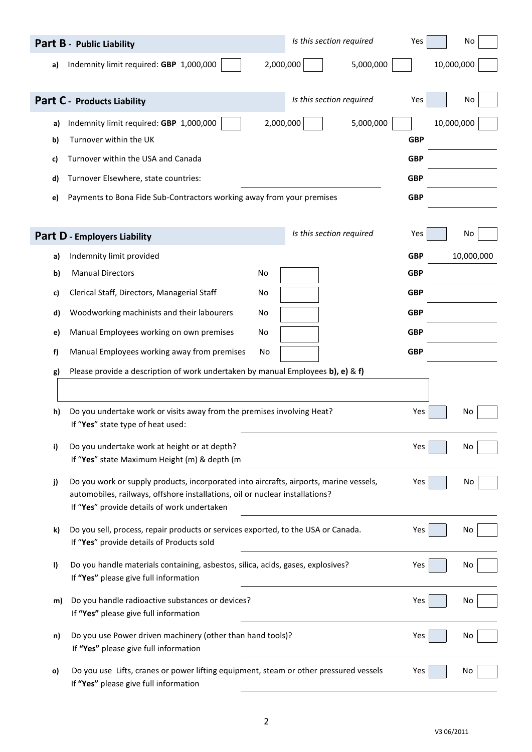|         | Part B - Public Liability                                                                                                                                              | Is this section required<br>Yes | No         |
|---------|------------------------------------------------------------------------------------------------------------------------------------------------------------------------|---------------------------------|------------|
| a)      | Indemnity limit required: GBP 1,000,000                                                                                                                                | 2,000,000<br>5,000,000          | 10,000,000 |
|         |                                                                                                                                                                        |                                 |            |
|         | Part C - Products Liability                                                                                                                                            | Is this section required<br>Yes | No         |
| a)      | Indemnity limit required: GBP 1,000,000                                                                                                                                | 2,000,000<br>5,000,000          | 10,000,000 |
| b)      | Turnover within the UK                                                                                                                                                 | <b>GBP</b>                      |            |
| c)      | Turnover within the USA and Canada                                                                                                                                     | <b>GBP</b>                      |            |
| d)      | Turnover Elsewhere, state countries:                                                                                                                                   | <b>GBP</b>                      |            |
| e)      | Payments to Bona Fide Sub-Contractors working away from your premises                                                                                                  | <b>GBP</b>                      |            |
|         |                                                                                                                                                                        |                                 |            |
|         | <b>Part D - Employers Liability</b>                                                                                                                                    | Is this section required<br>Yes | No         |
| a)      | Indemnity limit provided                                                                                                                                               | <b>GBP</b>                      | 10,000,000 |
| b)      | <b>Manual Directors</b><br>No                                                                                                                                          | <b>GBP</b>                      |            |
| c)      | Clerical Staff, Directors, Managerial Staff<br>No                                                                                                                      | <b>GBP</b>                      |            |
| d)      | Woodworking machinists and their labourers<br>No                                                                                                                       | <b>GBP</b>                      |            |
| e)      | Manual Employees working on own premises<br>No                                                                                                                         | <b>GBP</b>                      |            |
| f)      | Manual Employees working away from premises<br>No                                                                                                                      | <b>GBP</b>                      |            |
| g)      | Please provide a description of work undertaken by manual Employees b), e) & f)                                                                                        |                                 |            |
|         |                                                                                                                                                                        |                                 |            |
| h)      | Do you undertake work or visits away from the premises involving Heat?                                                                                                 | Yes                             | No         |
|         | If "Yes" state type of heat used:                                                                                                                                      |                                 |            |
| i)      | Do you undertake work at height or at depth?<br>If "Yes" state Maximum Height (m) & depth (m                                                                           | Yes                             | No         |
|         |                                                                                                                                                                        |                                 |            |
| j)      | Do you work or supply products, incorporated into aircrafts, airports, marine vessels,<br>automobiles, railways, offshore installations, oil or nuclear installations? | Yes                             | No         |
|         | If "Yes" provide details of work undertaken                                                                                                                            |                                 |            |
| k)      | Do you sell, process, repair products or services exported, to the USA or Canada.                                                                                      | Yes                             | No         |
|         | If "Yes" provide details of Products sold                                                                                                                              |                                 |            |
| $\vert$ | Do you handle materials containing, asbestos, silica, acids, gases, explosives?                                                                                        | Yes                             | No         |
|         | If "Yes" please give full information                                                                                                                                  |                                 |            |
| m)      | Do you handle radioactive substances or devices?<br>If "Yes" please give full information                                                                              | Yes                             | No         |
| n)      | Do you use Power driven machinery (other than hand tools)?                                                                                                             | Yes                             | No         |
|         | If "Yes" please give full information                                                                                                                                  |                                 |            |
| o)      | Do you use Lifts, cranes or power lifting equipment, steam or other pressured vessels                                                                                  | Yes                             | No         |
|         | If "Yes" please give full information                                                                                                                                  |                                 |            |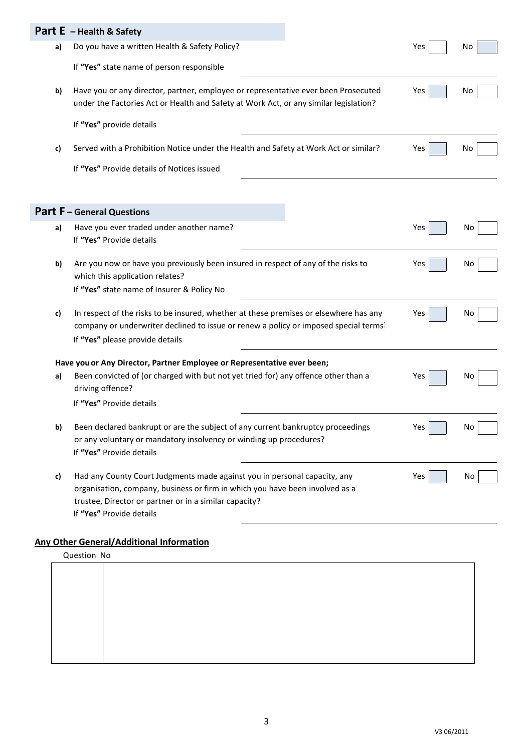|    | Part E - Health & Safety                                                                                                                                                    |     |    |
|----|-----------------------------------------------------------------------------------------------------------------------------------------------------------------------------|-----|----|
| a) | Do you have a written Health & Safety Policy?                                                                                                                               | Yes | No |
|    | If "Yes" state name of person responsible                                                                                                                                   |     |    |
| b) | Have you or any director, partner, employee or representative ever been Prosecuted<br>under the Factories Act or Health and Safety at Work Act, or any similar legislation? | Yes | Νo |
|    | If "Yes" provide details                                                                                                                                                    |     |    |
| c) | Served with a Prohibition Notice under the Health and Safety at Work Act or similar?                                                                                        | Yes | No |
|    | If "Yes" Provide details of Notices issued                                                                                                                                  |     |    |
|    |                                                                                                                                                                             |     |    |
|    | <b>Part F</b> - General Questions                                                                                                                                           |     |    |
| a) | Have you ever traded under another name?                                                                                                                                    | Yes | Νo |
|    | If "Yes" Provide details                                                                                                                                                    |     |    |
| b) | Are you now or have you previously been insured in respect of any of the risks to                                                                                           | Yes | No |
|    | which this application relates?                                                                                                                                             |     |    |
|    | If "Yes" state name of Insurer & Policy No                                                                                                                                  |     |    |
| c) | In respect of the risks to be insured, whether at these premises or elsewhere has any                                                                                       | Yes | Νo |
|    | company or underwriter declined to issue or renew a policy or imposed special terms <sup>2</sup>                                                                            |     |    |
|    | If "Yes" please provide details                                                                                                                                             |     |    |
|    | Have you or Any Director, Partner Employee or Representative ever been;                                                                                                     |     |    |
| a) | Been convicted of (or charged with but not yet tried for) any offence other than a                                                                                          | Yes | Νo |
|    | driving offence?                                                                                                                                                            |     |    |
|    | If "Yes" Provide details                                                                                                                                                    |     |    |
| b) | Been declared bankrupt or are the subject of any current bankruptcy proceedings                                                                                             | Yes | No |
|    | or any voluntary or mandatory insolvency or winding up procedures?                                                                                                          |     |    |
|    | If "Yes" Provide details                                                                                                                                                    |     |    |
| c) | Had any County Court Judgments made against you in personal capacity, any                                                                                                   | Yes | No |
|    | organisation, company, business or firm in which you have been involved as a                                                                                                |     |    |
|    | trustee, Director or partner or in a similar capacity?                                                                                                                      |     |    |
|    | If "Yes" Provide details                                                                                                                                                    |     |    |

## **Any Other General/Additional Information**

| Question No |  |
|-------------|--|
|             |  |
|             |  |
|             |  |
|             |  |
|             |  |
|             |  |
|             |  |